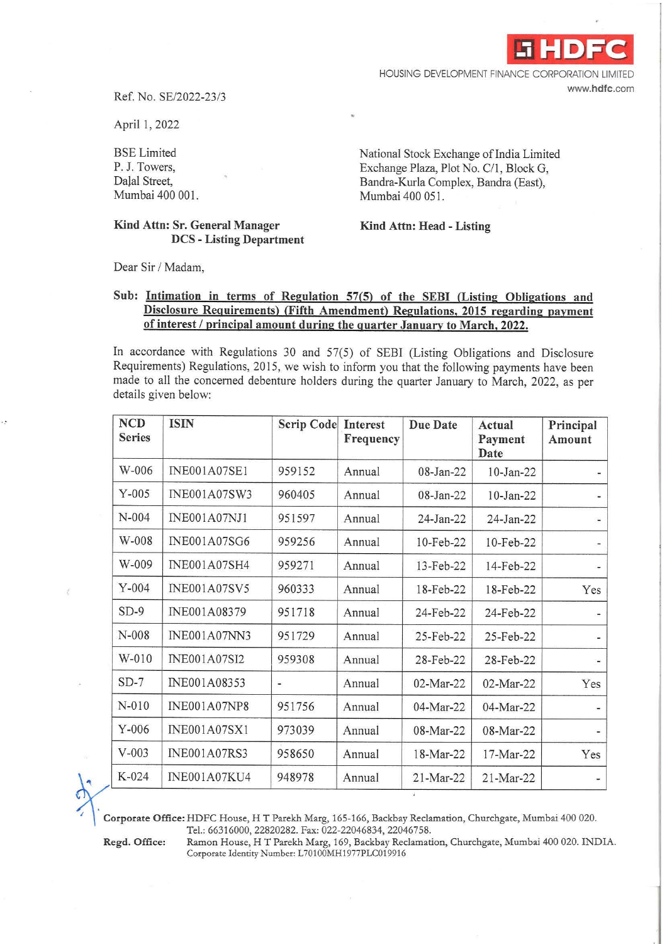**.i HDFC** 

HOUSING DEVELOPMENT FINANCE CORPORATION LIMITED **www.hdfc.com** 

Ref. No. SE/2022-23/3

April 1, 2022

BSE Limited P. J. Towers, Dalal Street, Mumbai 400 001.

## **Kind Attn: Sr. General Manager DCS - Listing Department**

National Stock Exchange of India Limited Exchange Plaza, Plot No. C/1, Block G, Bandra-Kurla Complex, Bandra (East), Mumbai 400 051.

**Kind Attn: Head - Listing** 

Dear Sir / Madam,

## **Sub: Intimation in terms of Regulation 57(5) of the SEBI (Listing Obligations and Disclosure Requirements) {Fifth Amendment) Regulations, 2015 regarding payment of interest I principal amount during the quarter Januarv to March, 2022.**

In accordance with Regulations 30 and 57(5) of SEBI (Listing Obligations and Disclosure Requirements) Regulations, 2015, we wish to inform you that the following payments have been made to all the concerned debenture holders during the quarter January to March, 2022, as per details given below:

| <b>NCD</b><br><b>Series</b> | <b>ISIN</b>         | <b>Scrip Code</b> | Interest<br>Frequency | <b>Due Date</b> | Actual<br>Payment<br>Date | Principal<br>Amount |
|-----------------------------|---------------------|-------------------|-----------------------|-----------------|---------------------------|---------------------|
| W-006                       | <b>INE001A07SE1</b> | 959152            | Annual                | 08-Jan-22       | 10-Jan-22                 |                     |
| $Y-005$                     | <b>INE001A07SW3</b> | 960405            | Annual                | 08-Jan-22       | $10$ -Jan-22              |                     |
| N-004                       | <b>INE001A07NJ1</b> | 951597            | Annual                | 24-Jan-22       | $24-Jan-22$               |                     |
| W-008                       | <b>INE001A07SG6</b> | 959256            | Annual                | 10-Feb-22       | 10-Feb-22                 |                     |
| W-009                       | <b>INE001A07SH4</b> | 959271            | Annual                | 13-Feb-22       | 14-Feb-22                 | -                   |
| $Y-004$                     | <b>INE001A07SV5</b> | 960333            | Annual                | 18-Feb-22       | 18-Feb-22                 | Yes                 |
| $SD-9$                      | INE001A08379        | 951718            | Annual                | 24-Feb-22       | 24-Feb-22                 |                     |
| N-008                       | <b>INE001A07NN3</b> | 951729            | Annual                | 25-Feb-22       | 25-Feb-22                 |                     |
| W-010                       | <b>INE001A07SI2</b> | 959308            | Annual                | 28-Feb-22       | 28-Feb-22                 |                     |
| $SD-7$                      | INE001A08353        | ٠                 | Annual                | $02-Mar-22$     | $02-Mar-22$               | Yes                 |
| $N-010$                     | INE001A07NP8        | 951756            | Annual                | 04-Mar-22       | 04-Mar-22                 |                     |
| $Y-006$                     | <b>INE001A07SX1</b> | 973039            | Annual                | 08-Mar-22       | 08-Mar-22                 |                     |
| $V-003$                     | INE001A07RS3        | 958650            | Annual                | 18-Mar-22       | $17-Mar-22$               | Yes                 |
| $K-024$                     | <b>INE001A07KU4</b> | 948978            | Annual                | 21-Mar-22       | 21-Mar-22                 |                     |

**Corporate Office: HDFC House, H T Parekh Marg, 165-166, Backbay Reclamation, Churchgate, Mumbai 400 020.** Tel.: 66316000, 22820282. Fax: 022-22046834, 22046758.

**Regd.** Office: Ramon House, HT Parekh Marg, 169, Backbay Reclamation, Churchgate, Mumbai 400 020. INDIA. Corporate Identity Number: L70100MH1977PLC019916